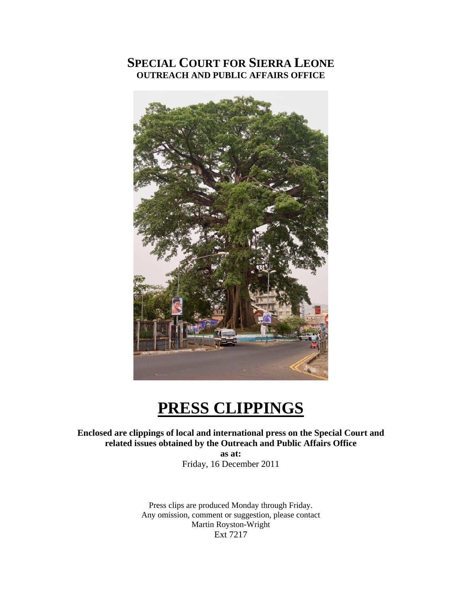### **SPECIAL COURT FOR SIERRA LEONE OUTREACH AND PUBLIC AFFAIRS OFFICE**



# **PRESS CLIPPINGS**

#### **Enclosed are clippings of local and international press on the Special Court and related issues obtained by the Outreach and Public Affairs Office**

**as at:**  Friday, 16 December 2011

Press clips are produced Monday through Friday. Any omission, comment or suggestion, please contact Martin Royston-Wright Ext 7217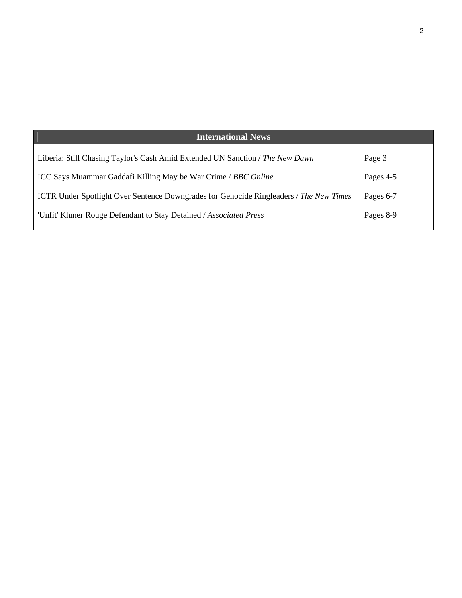| <b>International News</b>                                                              |           |
|----------------------------------------------------------------------------------------|-----------|
| Liberia: Still Chasing Taylor's Cash Amid Extended UN Sanction / The New Dawn          | Page 3    |
| ICC Says Muammar Gaddafi Killing May be War Crime / BBC Online                         | Pages 4-5 |
| ICTR Under Spotlight Over Sentence Downgrades for Genocide Ringleaders / The New Times | Pages 6-7 |
| 'Unfit' Khmer Rouge Defendant to Stay Detained / Associated Press                      | Pages 8-9 |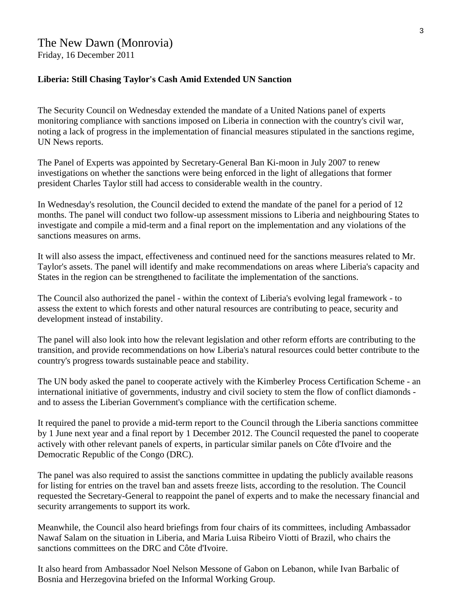## The New Dawn (Monrovia)

Friday, 16 December 2011

#### **Liberia: Still Chasing Taylor's Cash Amid Extended UN Sanction**

The Security Council on Wednesday extended the mandate of a United Nations panel of experts monitoring compliance with sanctions imposed on Liberia in connection with the country's civil war, noting a lack of progress in the implementation of financial measures stipulated in the sanctions regime, UN News reports.

The Panel of Experts was appointed by Secretary-General Ban Ki-moon in July 2007 to renew investigations on whether the sanctions were being enforced in the light of allegations that former president Charles Taylor still had access to considerable wealth in the country.

In Wednesday's resolution, the Council decided to extend the mandate of the panel for a period of 12 months. The panel will conduct two follow-up assessment missions to Liberia and neighbouring States to investigate and compile a mid-term and a final report on the implementation and any violations of the sanctions measures on arms.

It will also assess the impact, effectiveness and continued need for the sanctions measures related to Mr. Taylor's assets. The panel will identify and make recommendations on areas where Liberia's capacity and States in the region can be strengthened to facilitate the implementation of the sanctions.

The Council also authorized the panel - within the context of Liberia's evolving legal framework - to assess the extent to which forests and other natural resources are contributing to peace, security and development instead of instability.

The panel will also look into how the relevant legislation and other reform efforts are contributing to the transition, and provide recommendations on how Liberia's natural resources could better contribute to the country's progress towards sustainable peace and stability.

The UN body asked the panel to cooperate actively with the Kimberley Process Certification Scheme - an international initiative of governments, industry and civil society to stem the flow of conflict diamonds and to assess the Liberian Government's compliance with the certification scheme.

It required the panel to provide a mid-term report to the Council through the Liberia sanctions committee by 1 June next year and a final report by 1 December 2012. The Council requested the panel to cooperate actively with other relevant panels of experts, in particular similar panels on Côte d'Ivoire and the Democratic Republic of the Congo (DRC).

The panel was also required to assist the sanctions committee in updating the publicly available reasons for listing for entries on the travel ban and assets freeze lists, according to the resolution. The Council requested the Secretary-General to reappoint the panel of experts and to make the necessary financial and security arrangements to support its work.

Meanwhile, the Council also heard briefings from four chairs of its committees, including Ambassador Nawaf Salam on the situation in Liberia, and Maria Luisa Ribeiro Viotti of Brazil, who chairs the sanctions committees on the DRC and Côte d'Ivoire.

It also heard from Ambassador Noel Nelson Messone of Gabon on Lebanon, while Ivan Barbalic of Bosnia and Herzegovina briefed on the Informal Working Group.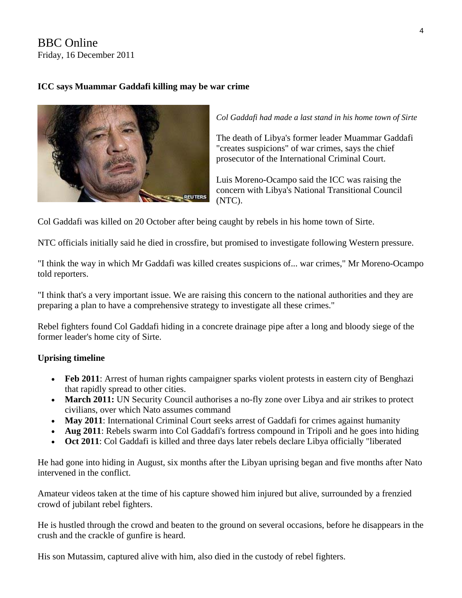BBC Online Friday, 16 December 2011

#### **ICC says Muammar Gaddafi killing may be war crime**



*Col Gaddafi had made a last stand in his home town of Sirte* 

The death of Libya's former leader Muammar Gaddafi "creates suspicions" of war crimes, says the chief prosecutor of the International Criminal Court.

Luis Moreno-Ocampo said the ICC was raising the concern with Libya's National Transitional Council (NTC).

Col Gaddafi was killed on 20 October after being caught by rebels in his home town of Sirte.

NTC officials initially said he died in crossfire, but promised to investigate following Western pressure.

"I think the way in which Mr Gaddafi was killed creates suspicions of... war crimes," Mr Moreno-Ocampo told reporters.

"I think that's a very important issue. We are raising this concern to the national authorities and they are preparing a plan to have a comprehensive strategy to investigate all these crimes."

Rebel fighters found Col Gaddafi hiding in a concrete drainage pipe after a long and bloody siege of the former leader's home city of Sirte.

#### **Uprising timeline**

- **Feb 2011**: Arrest of human rights campaigner sparks violent protests in eastern city of Benghazi that rapidly spread to other cities.
- **March 2011:** UN Security Council authorises a no-fly zone over Libya and air strikes to protect civilians, over which Nato assumes command
- May 2011: International Criminal Court seeks arrest of Gaddafi for crimes against humanity
- **Aug 2011**: Rebels swarm into Col Gaddafi's fortress compound in Tripoli and he goes into hiding
- Oct 2011: Col Gaddafi is killed and three days later rebels declare Libya officially "liberated"

He had gone into hiding in August, six months after the Libyan uprising began and five months after Nato intervened in the conflict.

Amateur videos taken at the time of his capture showed him injured but alive, surrounded by a frenzied crowd of jubilant rebel fighters.

He is hustled through the crowd and beaten to the ground on several occasions, before he disappears in the crush and the crackle of gunfire is heard.

His son Mutassim, captured alive with him, also died in the custody of rebel fighters.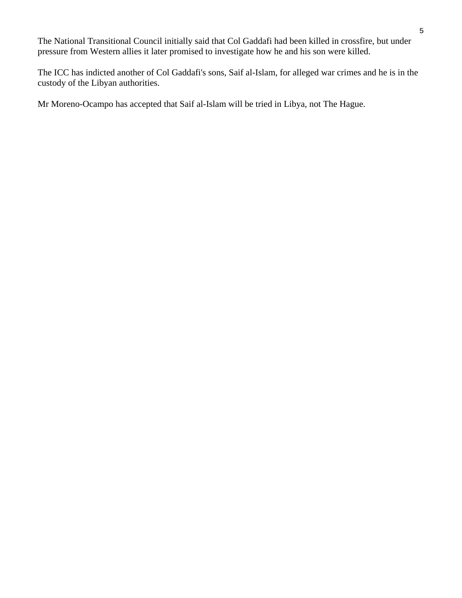The National Transitional Council initially said that Col Gaddafi had been killed in crossfire, but under pressure from Western allies it later promised to investigate how he and his son were killed.

The ICC has indicted another of Col Gaddafi's sons, Saif al-Islam, for alleged war crimes and he is in the custody of the Libyan authorities.

Mr Moreno-Ocampo has accepted that Saif al-Islam will be tried in Libya, not The Hague.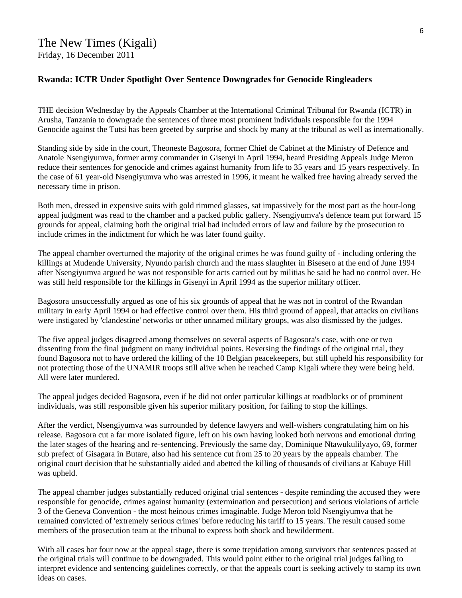#### **Rwanda: ICTR Under Spotlight Over Sentence Downgrades for Genocide Ringleaders**

THE decision Wednesday by the Appeals Chamber at the International Criminal Tribunal for Rwanda (ICTR) in Arusha, Tanzania to downgrade the sentences of three most prominent individuals responsible for the 1994 Genocide against the Tutsi has been greeted by surprise and shock by many at the tribunal as well as internationally.

Standing side by side in the court, Theoneste Bagosora, former Chief de Cabinet at the Ministry of Defence and Anatole Nsengiyumva, former army commander in Gisenyi in April 1994, heard Presiding Appeals Judge Meron reduce their sentences for genocide and crimes against humanity from life to 35 years and 15 years respectively. In the case of 61 year-old Nsengiyumva who was arrested in 1996, it meant he walked free having already served the necessary time in prison.

Both men, dressed in expensive suits with gold rimmed glasses, sat impassively for the most part as the hour-long appeal judgment was read to the chamber and a packed public gallery. Nsengiyumva's defence team put forward 15 grounds for appeal, claiming both the original trial had included errors of law and failure by the prosecution to include crimes in the indictment for which he was later found guilty.

The appeal chamber overturned the majority of the original crimes he was found guilty of - including ordering the killings at Mudende University, Nyundo parish church and the mass slaughter in Bisesero at the end of June 1994 after Nsengiyumva argued he was not responsible for acts carried out by militias he said he had no control over. He was still held responsible for the killings in Gisenyi in April 1994 as the superior military officer.

Bagosora unsuccessfully argued as one of his six grounds of appeal that he was not in control of the Rwandan military in early April 1994 or had effective control over them. His third ground of appeal, that attacks on civilians were instigated by 'clandestine' networks or other unnamed military groups, was also dismissed by the judges.

The five appeal judges disagreed among themselves on several aspects of Bagosora's case, with one or two dissenting from the final judgment on many individual points. Reversing the findings of the original trial, they found Bagosora not to have ordered the killing of the 10 Belgian peacekeepers, but still upheld his responsibility for not protecting those of the UNAMIR troops still alive when he reached Camp Kigali where they were being held. All were later murdered.

The appeal judges decided Bagosora, even if he did not order particular killings at roadblocks or of prominent individuals, was still responsible given his superior military position, for failing to stop the killings.

After the verdict, Nsengiyumva was surrounded by defence lawyers and well-wishers congratulating him on his release. Bagosora cut a far more isolated figure, left on his own having looked both nervous and emotional during the later stages of the hearing and re-sentencing. Previously the same day, Dominique Ntawukulilyayo, 69, former sub prefect of Gisagara in Butare, also had his sentence cut from 25 to 20 years by the appeals chamber. The original court decision that he substantially aided and abetted the killing of thousands of civilians at Kabuye Hill was upheld.

The appeal chamber judges substantially reduced original trial sentences - despite reminding the accused they were responsible for genocide, crimes against humanity (extermination and persecution) and serious violations of article 3 of the Geneva Convention - the most heinous crimes imaginable. Judge Meron told Nsengiyumva that he remained convicted of 'extremely serious crimes' before reducing his tariff to 15 years. The result caused some members of the prosecution team at the tribunal to express both shock and bewilderment.

With all cases bar four now at the appeal stage, there is some trepidation among survivors that sentences passed at the original trials will continue to be downgraded. This would point either to the original trial judges failing to interpret evidence and sentencing guidelines correctly, or that the appeals court is seeking actively to stamp its own ideas on cases.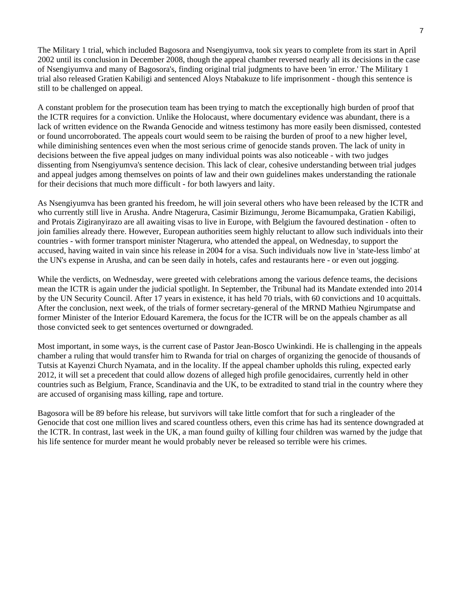The Military 1 trial, which included Bagosora and Nsengiyumva, took six years to complete from its start in April 2002 until its conclusion in December 2008, though the appeal chamber reversed nearly all its decisions in the case of Nsengiyumva and many of Bagosora's, finding original trial judgments to have been 'in error.' The Military 1 trial also released Gratien Kabiligi and sentenced Aloys Ntabakuze to life imprisonment - though this sentence is still to be challenged on appeal.

A constant problem for the prosecution team has been trying to match the exceptionally high burden of proof that the ICTR requires for a conviction. Unlike the Holocaust, where documentary evidence was abundant, there is a lack of written evidence on the Rwanda Genocide and witness testimony has more easily been dismissed, contested or found uncorroborated. The appeals court would seem to be raising the burden of proof to a new higher level, while diminishing sentences even when the most serious crime of genocide stands proven. The lack of unity in decisions between the five appeal judges on many individual points was also noticeable - with two judges dissenting from Nsengiyumva's sentence decision. This lack of clear, cohesive understanding between trial judges and appeal judges among themselves on points of law and their own guidelines makes understanding the rationale for their decisions that much more difficult - for both lawyers and laity.

As Nsengiyumva has been granted his freedom, he will join several others who have been released by the ICTR and who currently still live in Arusha. Andre Ntagerura, Casimir Bizimungu, Jerome Bicamumpaka, Gratien Kabiligi, and Protais Zigiranyirazo are all awaiting visas to live in Europe, with Belgium the favoured destination - often to join families already there. However, European authorities seem highly reluctant to allow such individuals into their countries - with former transport minister Ntagerura, who attended the appeal, on Wednesday, to support the accused, having waited in vain since his release in 2004 for a visa. Such individuals now live in 'state-less limbo' at the UN's expense in Arusha, and can be seen daily in hotels, cafes and restaurants here - or even out jogging.

While the verdicts, on Wednesday, were greeted with celebrations among the various defence teams, the decisions mean the ICTR is again under the judicial spotlight. In September, the Tribunal had its Mandate extended into 2014 by the UN Security Council. After 17 years in existence, it has held 70 trials, with 60 convictions and 10 acquittals. After the conclusion, next week, of the trials of former secretary-general of the MRND Mathieu Ngirumpatse and former Minister of the Interior Edouard Karemera, the focus for the ICTR will be on the appeals chamber as all those convicted seek to get sentences overturned or downgraded.

Most important, in some ways, is the current case of Pastor Jean-Bosco Uwinkindi. He is challenging in the appeals chamber a ruling that would transfer him to Rwanda for trial on charges of organizing the genocide of thousands of Tutsis at Kayenzi Church Nyamata, and in the locality. If the appeal chamber upholds this ruling, expected early 2012, it will set a precedent that could allow dozens of alleged high profile genocidaires, currently held in other countries such as Belgium, France, Scandinavia and the UK, to be extradited to stand trial in the country where they are accused of organising mass killing, rape and torture.

Bagosora will be 89 before his release, but survivors will take little comfort that for such a ringleader of the Genocide that cost one million lives and scared countless others, even this crime has had its sentence downgraded at the ICTR. In contrast, last week in the UK, a man found guilty of killing four children was warned by the judge that his life sentence for murder meant he would probably never be released so terrible were his crimes.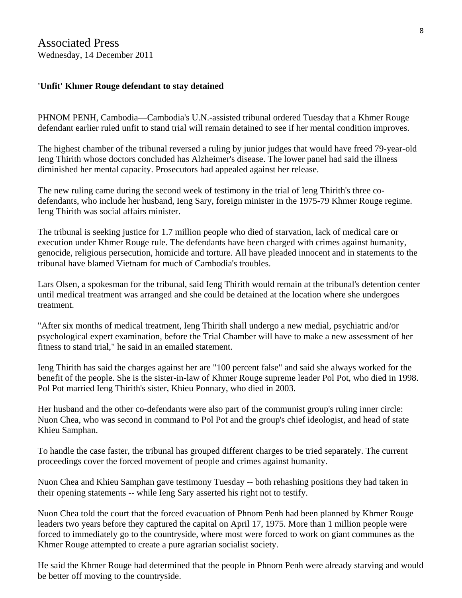#### **'Unfit' Khmer Rouge defendant to stay detained**

PHNOM PENH, Cambodia—Cambodia's U.N.-assisted tribunal ordered Tuesday that a Khmer Rouge defendant earlier ruled unfit to stand trial will remain detained to see if her mental condition improves.

The highest chamber of the tribunal reversed a ruling by junior judges that would have freed 79-year-old Ieng Thirith whose doctors concluded has Alzheimer's disease. The lower panel had said the illness diminished her mental capacity. Prosecutors had appealed against her release.

The new ruling came during the second week of testimony in the trial of Ieng Thirith's three codefendants, who include her husband, Ieng Sary, foreign minister in the 1975-79 Khmer Rouge regime. Ieng Thirith was social affairs minister.

The tribunal is seeking justice for 1.7 million people who died of starvation, lack of medical care or execution under Khmer Rouge rule. The defendants have been charged with crimes against humanity, genocide, religious persecution, homicide and torture. All have pleaded innocent and in statements to the tribunal have blamed Vietnam for much of Cambodia's troubles.

Lars Olsen, a spokesman for the tribunal, said Ieng Thirith would remain at the tribunal's detention center until medical treatment was arranged and she could be detained at the location where she undergoes treatment.

"After six months of medical treatment, Ieng Thirith shall undergo a new medial, psychiatric and/or psychological expert examination, before the Trial Chamber will have to make a new assessment of her fitness to stand trial," he said in an emailed statement.

Ieng Thirith has said the charges against her are "100 percent false" and said she always worked for the benefit of the people. She is the sister-in-law of Khmer Rouge supreme leader Pol Pot, who died in 1998. Pol Pot married Ieng Thirith's sister, Khieu Ponnary, who died in 2003.

Her husband and the other co-defendants were also part of the communist group's ruling inner circle: Nuon Chea, who was second in command to Pol Pot and the group's chief ideologist, and head of state Khieu Samphan.

To handle the case faster, the tribunal has grouped different charges to be tried separately. The current proceedings cover the forced movement of people and crimes against humanity.

Nuon Chea and Khieu Samphan gave testimony Tuesday -- both rehashing positions they had taken in their opening statements -- while Ieng Sary asserted his right not to testify.

Nuon Chea told the court that the forced evacuation of Phnom Penh had been planned by Khmer Rouge leaders two years before they captured the capital on April 17, 1975. More than 1 million people were forced to immediately go to the countryside, where most were forced to work on giant communes as the Khmer Rouge attempted to create a pure agrarian socialist society.

He said the Khmer Rouge had determined that the people in Phnom Penh were already starving and would be better off moving to the countryside.